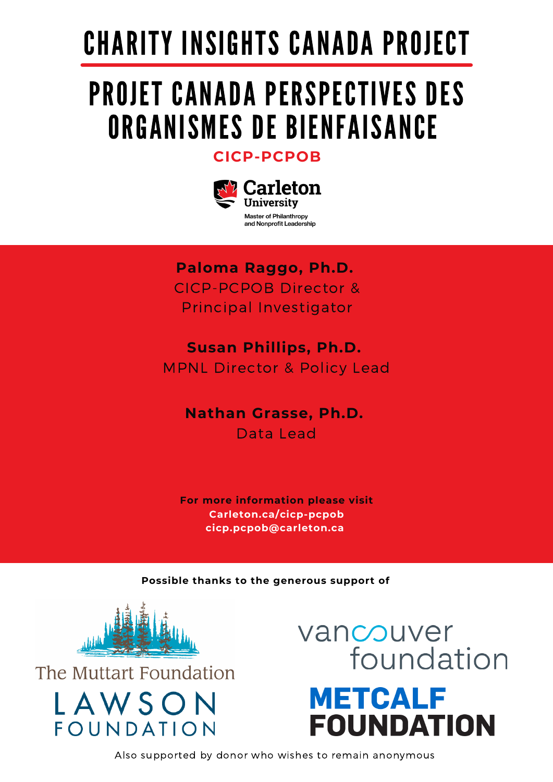# CHARITY INSIGHTS CANADA PROJECT

## PROJET CANADA PERSPECTIVES DES ORGANISMES DE BIENFAISANCE

**[CICP-PCPOB](https://carleton.ca/mpnl/)**



**Paloma Raggo, Ph.D.** CICP-PCPOB Director & Principal Investigator

**Susan Phillips, Ph.D.** MPNL Director & Policy Lead

**Nathan Grasse, Ph.D.** Data Lead

**For more information please visit Carleton.ca/cicp-pcpob cicp.pcpob@carleton.ca**

**Possible thanks to the generous support of**



The Muttart Foundation

LAWSON

FOUNDATION

vancouver foundation **METCALF FOUNDATION** 

Also supported by donor who wishes to remain anonymous